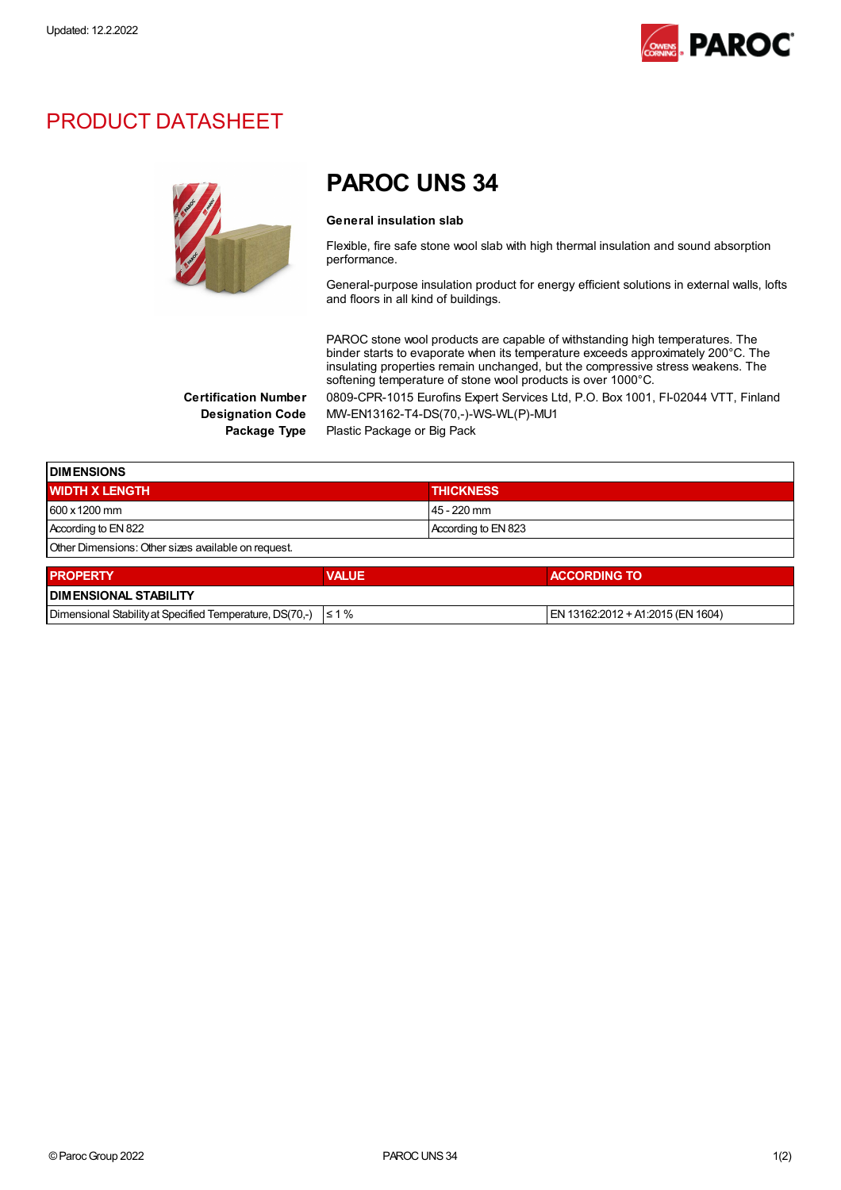

## PRODUCT DATASHEET



## PAROC UNS 34

## General insulation slab

Flexible, fire safe stone wool slab with high thermal insulation and sound absorption performance.

General-purpose insulation product for energy efficient solutions in external walls, lofts and floors in all kind of buildings.

PAROC stone wool products are capable of withstanding high temperatures. The binder starts to evaporate when its temperature exceeds approximately 200°C. The insulating properties remain unchanged, but the compressive stress weakens. The softening temperature of stone wool products is over 1000°C.

Certification Number 0809-CPR-1015 Eurofins Expert Services Ltd, P.O. Box 1001, FI-02044 VTT, Finland Designation Code MW-EN13162-T4-DS(70,-)-WS-WL(P)-MU1 Package Type Plastic Package or Big Pack

**DIMENSIONS** WIDTH X LENGTH THICKNESS AND THICKNESS 600 x1200 mm 45 - 220 mm According to EN 822 According to EN 823 Other Dimensions:Other sizes available on request.

| <b>PROPERTY</b>                                                     | <b>VALUE</b> | <b>ACCORDING TO</b>                  |  |
|---------------------------------------------------------------------|--------------|--------------------------------------|--|
| <b>I DIMENSIONAL STABILITY</b>                                      |              |                                      |  |
| Dimensional Stability at Specified Temperature, DS(70,-) $\leq 1\%$ |              | $ EN 13162:2012 + A1:2015$ (EN 1604) |  |